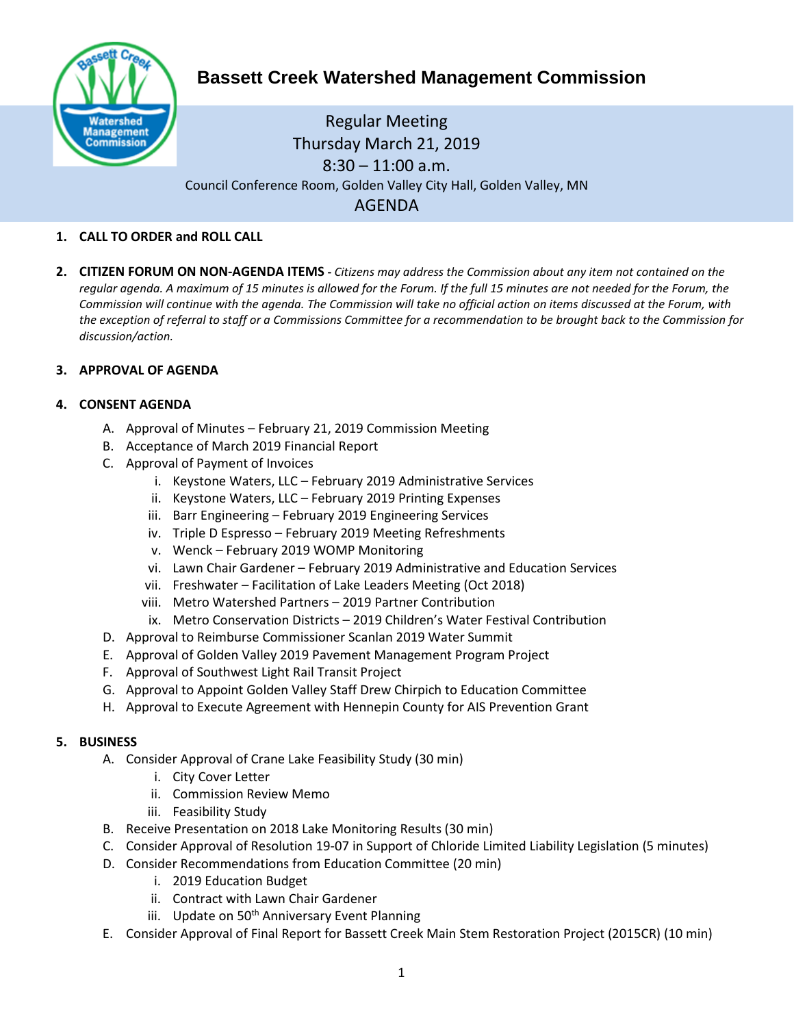

# **Bassett Creek Watershed Management Commission**

## Regular Meeting Thursday March 21, 2019 8:30 – 11:00 a.m. Council Conference Room, Golden Valley City Hall, Golden Valley, MN AGENDA

## **1. CALL TO ORDER and ROLL CALL**

**2. CITIZEN FORUM ON NON-AGENDA ITEMS -** *Citizens may address the Commission about any item not contained on the regular agenda. A maximum of 15 minutes is allowed for the Forum. If the full 15 minutes are not needed for the Forum, the Commission will continue with the agenda. The Commission will take no official action on items discussed at the Forum, with the exception of referral to staff or a Commissions Committee for a recommendation to be brought back to the Commission for discussion/action.*

## **3. APPROVAL OF AGENDA**

## **4. CONSENT AGENDA**

- A. Approval of Minutes February 21, 2019 Commission Meeting
- B. Acceptance of March 2019 Financial Report
- C. Approval of Payment of Invoices
	- i. Keystone Waters, LLC February 2019 Administrative Services
	- ii. Keystone Waters, LLC February 2019 Printing Expenses
	- iii. Barr Engineering February 2019 Engineering Services
	- iv. Triple D Espresso February 2019 Meeting Refreshments
	- v. Wenck February 2019 WOMP Monitoring
	- vi. Lawn Chair Gardener February 2019 Administrative and Education Services
	- vii. Freshwater Facilitation of Lake Leaders Meeting (Oct 2018)
	- viii. Metro Watershed Partners 2019 Partner Contribution
	- ix. Metro Conservation Districts 2019 Children's Water Festival Contribution
- D. Approval to Reimburse Commissioner Scanlan 2019 Water Summit
- E. Approval of Golden Valley 2019 Pavement Management Program Project
- F. Approval of Southwest Light Rail Transit Project
- G. Approval to Appoint Golden Valley Staff Drew Chirpich to Education Committee
- H. Approval to Execute Agreement with Hennepin County for AIS Prevention Grant

#### **5. BUSINESS**

- A. Consider Approval of Crane Lake Feasibility Study (30 min)
	- i. City Cover Letter
	- ii. Commission Review Memo
	- iii. Feasibility Study
- B. Receive Presentation on 2018 Lake Monitoring Results (30 min)
- C. Consider Approval of Resolution 19-07 in Support of Chloride Limited Liability Legislation (5 minutes)
- D. Consider Recommendations from Education Committee (20 min)
	- i. 2019 Education Budget
	- ii. Contract with Lawn Chair Gardener
	- iii. Update on 50<sup>th</sup> Anniversary Event Planning
- E. Consider Approval of Final Report for Bassett Creek Main Stem Restoration Project (2015CR) (10 min)